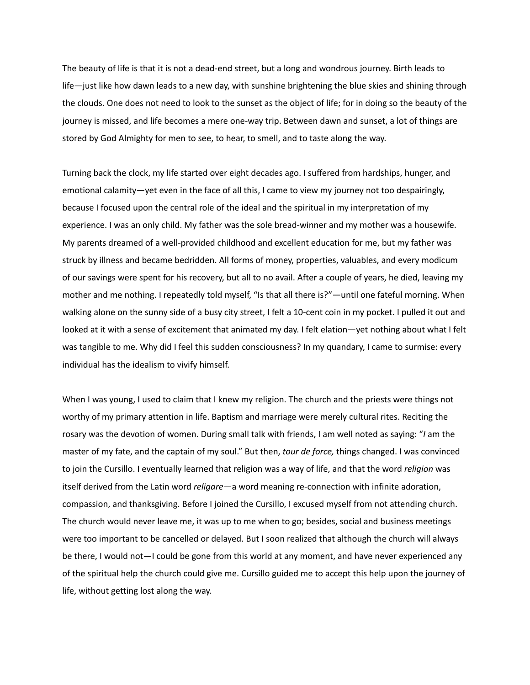The beauty of life is that it is not a dead-end street, but a long and wondrous journey. Birth leads to life—just like how dawn leads to a new day, with sunshine brightening the blue skies and shining through the clouds. One does not need to look to the sunset as the object of life; for in doing so the beauty of the journey is missed, and life becomes a mere one-way trip. Between dawn and sunset, a lot of things are stored by God Almighty for men to see, to hear, to smell, and to taste along the way.

Turning back the clock, my life started over eight decades ago. I suffered from hardships, hunger, and emotional calamity—yet even in the face of all this, I came to view my journey not too despairingly, because I focused upon the central role of the ideal and the spiritual in my interpretation of my experience. I was an only child. My father was the sole bread-winner and my mother was a housewife. My parents dreamed of a well-provided childhood and excellent education for me, but my father was struck by illness and became bedridden. All forms of money, properties, valuables, and every modicum of our savings were spent for his recovery, but all to no avail. After a couple of years, he died, leaving my mother and me nothing. I repeatedly told myself, "Is that all there is?"—until one fateful morning. When walking alone on the sunny side of a busy city street, I felt a 10-cent coin in my pocket. I pulled it out and looked at it with a sense of excitement that animated my day. I felt elation—yet nothing about what I felt was tangible to me. Why did I feel this sudden consciousness? In my quandary, I came to surmise: every individual has the idealism to vivify himself.

When I was young, I used to claim that I knew my religion. The church and the priests were things not worthy of my primary attention in life. Baptism and marriage were merely cultural rites. Reciting the rosary was the devotion of women. During small talk with friends, I am well noted as saying: "*I* am the master of my fate, and the captain of my soul." But then, *tour de force,* things changed. I was convinced to join the Cursillo. I eventually learned that religion was a way of life, and that the word *religion* was itself derived from the Latin word *religare*—a word meaning re-connection with infinite adoration, compassion, and thanksgiving. Before I joined the Cursillo, I excused myself from not attending church. The church would never leave me, it was up to me when to go; besides, social and business meetings were too important to be cancelled or delayed. But I soon realized that although the church will always be there, I would not—I could be gone from this world at any moment, and have never experienced any of the spiritual help the church could give me. Cursillo guided me to accept this help upon the journey of life, without getting lost along the way.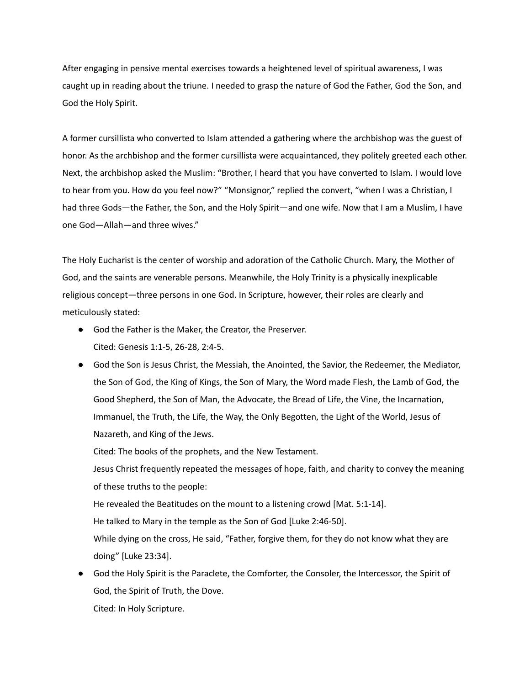After engaging in pensive mental exercises towards a heightened level of spiritual awareness, I was caught up in reading about the triune. I needed to grasp the nature of God the Father, God the Son, and God the Holy Spirit.

A former cursillista who converted to Islam attended a gathering where the archbishop was the guest of honor. As the archbishop and the former cursillista were acquaintanced, they politely greeted each other. Next, the archbishop asked the Muslim: "Brother, I heard that you have converted to Islam. I would love to hear from you. How do you feel now?" "Monsignor," replied the convert, "when I was a Christian, I had three Gods—the Father, the Son, and the Holy Spirit—and one wife. Now that I am a Muslim, I have one God—Allah—and three wives."

The Holy Eucharist is the center of worship and adoration of the Catholic Church. Mary, the Mother of God, and the saints are venerable persons. Meanwhile, the Holy Trinity is a physically inexplicable religious concept—three persons in one God. In Scripture, however, their roles are clearly and meticulously stated:

- God the Father is the Maker, the Creator, the Preserver. Cited: Genesis 1:1-5, 26-28, 2:4-5.
- God the Son is Jesus Christ, the Messiah, the Anointed, the Savior, the Redeemer, the Mediator, the Son of God, the King of Kings, the Son of Mary, the Word made Flesh, the Lamb of God, the Good Shepherd, the Son of Man, the Advocate, the Bread of Life, the Vine, the Incarnation, Immanuel, the Truth, the Life, the Way, the Only Begotten, the Light of the World, Jesus of Nazareth, and King of the Jews.

Cited: The books of the prophets, and the New Testament.

Jesus Christ frequently repeated the messages of hope, faith, and charity to convey the meaning of these truths to the people:

He revealed the Beatitudes on the mount to a listening crowd [Mat. 5:1-14].

He talked to Mary in the temple as the Son of God [Luke 2:46-50].

While dying on the cross, He said, "Father, forgive them, for they do not know what they are doing" [Luke 23:34].

● God the Holy Spirit is the Paraclete, the Comforter, the Consoler, the Intercessor, the Spirit of God, the Spirit of Truth, the Dove. Cited: In Holy Scripture.